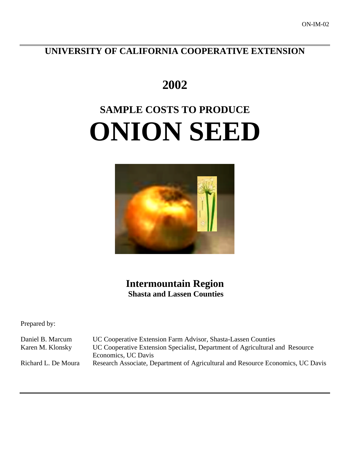**UNIVERSITY OF CALIFORNIA COOPERATIVE EXTENSION**

# **2002**

# **SAMPLE COSTS TO PRODUCE ONION SEED**



**Intermountain Region Shasta and Lassen Counties**

Prepared by:

Daniel B. Marcum UC Cooperative Extension Farm Advisor, Shasta-Lassen Counties Karen M. Klonsky UC Cooperative Extension Specialist, Department of Agricultural and Resource Economics, UC Davis Richard L. De Moura Research Associate, Department of Agricultural and Resource Economics, UC Davis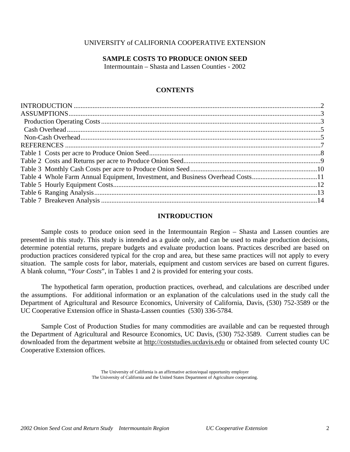# UNIVERSITY of CALIFORNIA COOPERATIVE EXTENSION

# **SAMPLE COSTS TO PRODUCE ONION SEED**

Intermountain – Shasta and Lassen Counties - 2002

# **CONTENTS**

| Table 4 Whole Farm Annual Equipment, Investment, and Business Overhead Costs11 |  |
|--------------------------------------------------------------------------------|--|
|                                                                                |  |
|                                                                                |  |
|                                                                                |  |
|                                                                                |  |

# **INTRODUCTION**

Sample costs to produce onion seed in the Intermountain Region – Shasta and Lassen counties are presented in this study. This study is intended as a guide only, and can be used to make production decisions, determine potential returns, prepare budgets and evaluate production loans. Practices described are based on production practices considered typical for the crop and area, but these same practices will not apply to every situation. The sample costs for labor, materials, equipment and custom services are based on current figures. A blank column, "*Your Costs*", in Tables 1 and 2 is provided for entering your costs.

The hypothetical farm operation, production practices, overhead, and calculations are described under the assumptions. For additional information or an explanation of the calculations used in the study call the Department of Agricultural and Resource Economics, University of California, Davis, (530) 752-3589 or the UC Cooperative Extension office in Shasta-Lassen counties (530) 336-5784.

Sample Cost of Production Studies for many commodities are available and can be requested through the Department of Agricultural and Resource Economics, UC Davis, (530) 752-3589. Current studies can be downloaded from the department website at http://coststudies.ucdavis.edu or obtained from selected county UC Cooperative Extension offices.

> The University of California is an affirmative action/equal opportunity employer The University of California and the United States Department of Agriculture cooperating.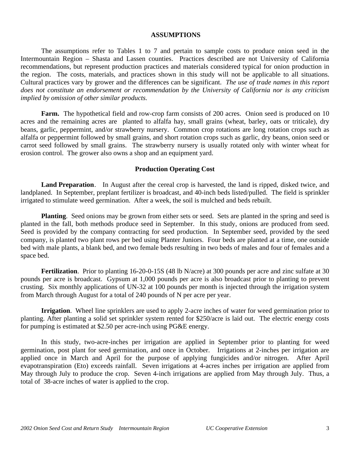# **ASSUMPTIONS**

The assumptions refer to Tables 1 to 7 and pertain to sample costs to produce onion seed in the Intermountain Region – Shasta and Lassen counties. Practices described are not University of California recommendations, but represent production practices and materials considered typical for onion production in the region. The costs, materials, and practices shown in this study will not be applicable to all situations. Cultural practices vary by grower and the differences can be significant. *The use of trade names in this report does not constitute an endorsement or recommendation by the University of California nor is any criticism implied by omission of other similar products.*

Farm. The hypothetical field and row-crop farm consists of 200 acres. Onion seed is produced on 10 acres and the remaining acres are planted to alfalfa hay, small grains (wheat, barley, oats or triticale), dry beans, garlic, peppermint, and/or strawberry nursery. Common crop rotations are long rotation crops such as alfalfa or peppermint followed by small grains, and short rotation crops such as garlic, dry beans, onion seed or carrot seed followed by small grains. The strawberry nursery is usually rotated only with winter wheat for erosion control. The grower also owns a shop and an equipment yard.

# **Production Operating Cost**

**Land Preparation**. In August after the cereal crop is harvested, the land is ripped, disked twice, and landplaned. In September, preplant fertilizer is broadcast, and 40-inch beds listed/pulled. The field is sprinkler irrigated to stimulate weed germination. After a week, the soil is mulched and beds rebuilt.

**Planting**. Seed onions may be grown from either sets or seed. Sets are planted in the spring and seed is planted in the fall, both methods produce seed in September. In this study, onions are produced from seed. Seed is provided by the company contracting for seed production. In September seed, provided by the seed company, is planted two plant rows per bed using Planter Juniors. Four beds are planted at a time, one outside bed with male plants, a blank bed, and two female beds resulting in two beds of males and four of females and a space bed.

**Fertilization**. Prior to planting 16-20-0-15S (48 lb N/acre) at 300 pounds per acre and zinc sulfate at 30 pounds per acre is broadcast. Gypsum at 1,000 pounds per acre is also broadcast prior to planting to prevent crusting. Six monthly applications of UN-32 at 100 pounds per month is injected through the irrigation system from March through August for a total of 240 pounds of N per acre per year.

**Irrigation**. Wheel line sprinklers are used to apply 2-acre inches of water for weed germination prior to planting. After planting a solid set sprinkler system rented for \$250/acre is laid out. The electric energy costs for pumping is estimated at \$2.50 per acre-inch using PG&E energy.

In this study, two-acre-inches per irrigation are applied in September prior to planting for weed germination, post plant for seed germination, and once in October. Irrigations at 2-inches per irrigation are applied once in March and April for the purpose of applying fungicides and/or nitrogen. After April evapotranspiration (Eto) exceeds rainfall. Seven irrigations at 4-acres inches per irrigation are applied from May through July to produce the crop. Seven 4-inch irrigations are applied from May through July. Thus, a total of 38-acre inches of water is applied to the crop.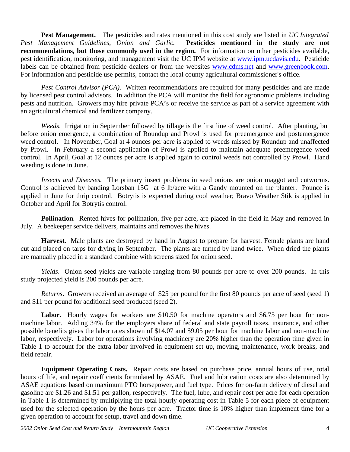**Pest Management.** The pesticides and rates mentioned in this cost study are listed in *UC Integrated Pest Management Guidelines, Onion and Garlic.* **Pesticides mentioned in the study are not recommendations, but those commonly used in the region.** For information on other pesticides available, pest identification, monitoring, and management visit the UC IPM website at www.ipm.ucdavis.edu. Pesticide labels can be obtained from pesticide dealers or from the websites www.cdms.net and www.greenbook.com. For information and pesticide use permits, contact the local county agricultural commissioner's office.

*Pest Control Advisor (PCA).* Written recommendations are required for many pesticides and are made by licensed pest control advisors. In addition the PCA will monitor the field for agronomic problems including pests and nutrition. Growers may hire private PCA's or receive the service as part of a service agreement with an agricultural chemical and fertilizer company.

*Weeds*. Irrigation in September followed by tillage is the first line of weed control. After planting, but before onion emergence, a combination of Roundup and Prowl is used for preemergence and postemergence weed control. In November, Goal at 4 ounces per acre is applied to weeds missed by Roundup and unaffected by Prowl. In February a second application of Prowl is applied to maintain adequate preemergence weed control. In April, Goal at 12 ounces per acre is applied again to control weeds not controlled by Prowl. Hand weeding is done in June.

*Insects and Diseases.* The primary insect problems in seed onions are onion maggot and cutworms. Control is achieved by banding Lorsban 15G at 6 lb/acre with a Gandy mounted on the planter. Pounce is applied in June for thrip control. Botrytis is expected during cool weather; Bravo Weather Stik is applied in October and April for Botrytis control.

**Pollination***.* Rented hives for pollination, five per acre, are placed in the field in May and removed in July. A beekeeper service delivers, maintains and removes the hives.

**Harvest.** Male plants are destroyed by hand in August to prepare for harvest. Female plants are hand cut and placed on tarps for drying in September. The plants are turned by hand twice. When dried the plants are manually placed in a standard combine with screens sized for onion seed.

*Yields*. Onion seed yields are variable ranging from 80 pounds per acre to over 200 pounds. In this study projected yield is 200 pounds per acre.

*Returns*. Growers received an average of \$25 per pound for the first 80 pounds per acre of seed (seed 1) and \$11 per pound for additional seed produced (seed 2).

Labor. Hourly wages for workers are \$10.50 for machine operators and \$6.75 per hour for nonmachine labor. Adding 34% for the employers share of federal and state payroll taxes, insurance, and other possible benefits gives the labor rates shown of \$14.07 and \$9.05 per hour for machine labor and non-machine labor, respectively. Labor for operations involving machinery are 20% higher than the operation time given in Table 1 to account for the extra labor involved in equipment set up, moving, maintenance, work breaks, and field repair.

**Equipment Operating Costs.** Repair costs are based on purchase price, annual hours of use, total hours of life, and repair coefficients formulated by ASAE. Fuel and lubrication costs are also determined by ASAE equations based on maximum PTO horsepower, and fuel type. Prices for on-farm delivery of diesel and gasoline are \$1.26 and \$1.51 per gallon, respectively. The fuel, lube, and repair cost per acre for each operation in Table 1 is determined by multiplying the total hourly operating cost in Table 5 for each piece of equipment used for the selected operation by the hours per acre. Tractor time is 10% higher than implement time for a given operation to account for setup, travel and down time.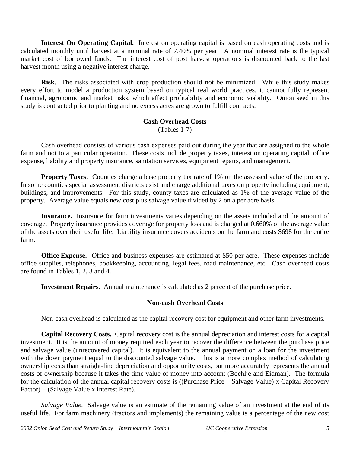**Interest On Operating Capital.** Interest on operating capital is based on cash operating costs and is calculated monthly until harvest at a nominal rate of 7.40% per year. A nominal interest rate is the typical market cost of borrowed funds. The interest cost of post harvest operations is discounted back to the last harvest month using a negative interest charge.

**Risk**. The risks associated with crop production should not be minimized. While this study makes every effort to model a production system based on typical real world practices, it cannot fully represent financial, agronomic and market risks, which affect profitability and economic viability. Onion seed in this study is contracted prior to planting and no excess acres are grown to fulfill contracts.

# **Cash Overhead Costs** (Tables 1-7)

Cash overhead consists of various cash expenses paid out during the year that are assigned to the whole farm and not to a particular operation. These costs include property taxes, interest on operating capital, office expense, liability and property insurance, sanitation services, equipment repairs, and management.

**Property Taxes**. Counties charge a base property tax rate of 1% on the assessed value of the property. In some counties special assessment districts exist and charge additional taxes on property including equipment, buildings, and improvements. For this study, county taxes are calculated as 1% of the average value of the property. Average value equals new cost plus salvage value divided by 2 on a per acre basis.

**Insurance.**Insurance for farm investments varies depending on the assets included and the amount of coverage. Property insurance provides coverage for property loss and is charged at 0.660% of the average value of the assets over their useful life. Liability insurance covers accidents on the farm and costs \$698 for the entire farm.

**Office Expense.** Office and business expenses are estimated at \$50 per acre. These expenses include office supplies, telephones, bookkeeping, accounting, legal fees, road maintenance, etc. Cash overhead costs are found in Tables 1, 2, 3 and 4.

**Investment Repairs.** Annual maintenance is calculated as 2 percent of the purchase price.

# **Non-cash Overhead Costs**

Non-cash overhead is calculated as the capital recovery cost for equipment and other farm investments.

**Capital Recovery Costs.** Capital recovery cost is the annual depreciation and interest costs for a capital investment. It is the amount of money required each year to recover the difference between the purchase price and salvage value (unrecovered capital). It is equivalent to the annual payment on a loan for the investment with the down payment equal to the discounted salvage value. This is a more complex method of calculating ownership costs than straight-line depreciation and opportunity costs, but more accurately represents the annual costs of ownership because it takes the time value of money into account (Boehlje and Eidman). The formula for the calculation of the annual capital recovery costs is ((Purchase Price – Salvage Value) x Capital Recovery Factor) + (Salvage Value x Interest Rate).

*Salvage Value*. Salvage value is an estimate of the remaining value of an investment at the end of its useful life. For farm machinery (tractors and implements) the remaining value is a percentage of the new cost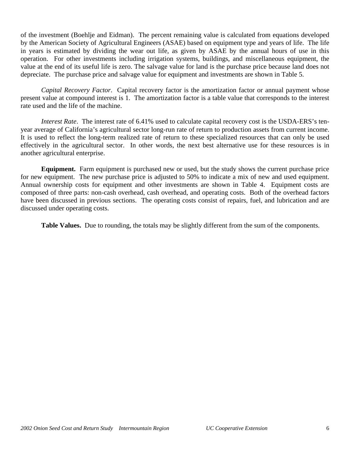of the investment (Boehlje and Eidman). The percent remaining value is calculated from equations developed by the American Society of Agricultural Engineers (ASAE) based on equipment type and years of life. The life in years is estimated by dividing the wear out life, as given by ASAE by the annual hours of use in this operation. For other investments including irrigation systems, buildings, and miscellaneous equipment, the value at the end of its useful life is zero. The salvage value for land is the purchase price because land does not depreciate. The purchase price and salvage value for equipment and investments are shown in Table 5.

*Capital Recovery Factor*. Capital recovery factor is the amortization factor or annual payment whose present value at compound interest is 1. The amortization factor is a table value that corresponds to the interest rate used and the life of the machine.

*Interest Rate*. The interest rate of 6.41% used to calculate capital recovery cost is the USDA-ERS's tenyear average of California's agricultural sector long-run rate of return to production assets from current income. It is used to reflect the long-term realized rate of return to these specialized resources that can only be used effectively in the agricultural sector. In other words, the next best alternative use for these resources is in another agricultural enterprise.

**Equipment.** Farm equipment is purchased new or used, but the study shows the current purchase price for new equipment. The new purchase price is adjusted to 50% to indicate a mix of new and used equipment. Annual ownership costs for equipment and other investments are shown in Table 4. Equipment costs are composed of three parts: non-cash overhead, cash overhead, and operating costs. Both of the overhead factors have been discussed in previous sections. The operating costs consist of repairs, fuel, and lubrication and are discussed under operating costs.

**Table Values.** Due to rounding, the totals may be slightly different from the sum of the components.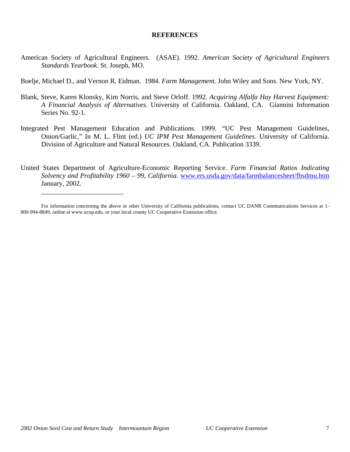# **REFERENCES**

- American Society of Agricultural Engineers. (ASAE). 1992. *American Society of Agricultural Engineers Standards Yearbook*. St. Joseph, MO.
- Boelje, Michael D., and Vernon R. Eidman. 1984. *Farm Management*. John Wiley and Sons. New York, NY.
- Blank, Steve, Karen Klonsky, Kim Norris, and Steve Orloff. 1992. *Acquiring Alfalfa Hay Harvest Equipment: A Financial Analysis of Alternatives*. University of California. Oakland, CA. Giannini Information Series No. 92-1.
- Integrated Pest Management Education and Publications. 1999. "UC Pest Management Guidelines, Onion/Garlic." In M. L. Flint (ed.) *UC IPM Pest Management Guidelines*. University of California. Division of Agriculture and Natural Resources. Oakland, CA. Publication 3339.
- United States Department of Agriculture-Economic Reporting Service. *Farm Financial Ratios Indicating Solvency and Profitability 1960 – 99, California.* www.ers.usda.gov/data/farmbalancesheet/fbsdmu.htm January, 2002.

\_\_\_\_\_\_\_\_\_\_\_\_\_\_\_\_\_\_\_\_\_\_\_\_

For information concerning the above or other University of California publications, contact UC DANR Communications Services at 1- 800-994-8849, online at www.ucop.edu, or your local county UC Cooperative Extension office.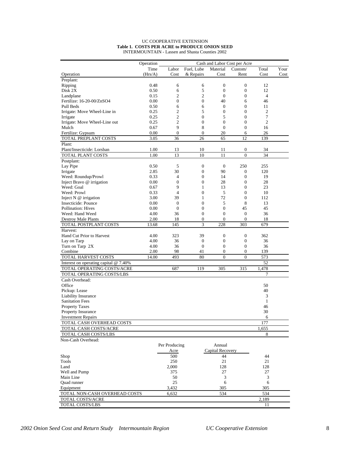#### UC COOPERATIVE EXTENSION **Table 1. COSTS PER ACRE to PRODUCE ONION SEED** INTERMOUNTAIN - Lassen and Shasta Counties 2002

|                                       | Operation |                  |                  |                  | Cash and Labor Cost per Acre |                |      |
|---------------------------------------|-----------|------------------|------------------|------------------|------------------------------|----------------|------|
|                                       | Time      | Labor            | Fuel, Lube       | Material         | Custom/                      | Total          | Your |
| Operation                             | (Hrs/A)   | Cost             | & Repairs        | Cost             | Rent                         | Cost           | Cost |
| Preplant:                             |           |                  |                  |                  |                              |                |      |
| Ripping                               | 0.48      | 6                | 6                | $\boldsymbol{0}$ | $\boldsymbol{0}$             | 12             |      |
| Disk 2X                               | 0.50      | 6                | 5                | $\boldsymbol{0}$ | $\boldsymbol{0}$             | 12             |      |
| Landplane                             | 0.15      | $\overline{c}$   | $\mathbf{2}$     | $\mathbf{0}$     | $\boldsymbol{0}$             | $\overline{4}$ |      |
| Fertilize: 16-20-00/ZnSO4             | 0.00      | $\boldsymbol{0}$ | $\boldsymbol{0}$ | 40               | 6                            | 46             |      |
| Pull Beds                             | 0.50      | 6                | 6                | $\theta$         | $\mathbf{0}$                 | 11             |      |
| Irrigate: Move Wheel-Line in          | 0.25      | $\mathfrak{2}$   | 5                | $\mathbf{0}$     | $\mathbf{0}$                 | 2              |      |
| Irrigate                              | 0.25      | $\overline{2}$   | $\boldsymbol{0}$ | 5                | $\mathbf{0}$                 | 7              |      |
| Irrigate: Move Wheel-Line out         | 0.25      | $\mathbf{2}$     | $\boldsymbol{0}$ | $\overline{0}$   | $\mathbf{0}$                 | $\overline{c}$ |      |
| Mulch                                 | 0.67      | 9                | 8                | $\mathbf{0}$     | $\boldsymbol{0}$             | 16             |      |
| Fertilize: Gypsum                     | 0.00      | $\boldsymbol{0}$ | $\boldsymbol{0}$ | 20               | 6                            | 26             |      |
| TOTAL PREPLANT COSTS                  | 3.05      | 36               | 26               | 65               | 12                           | 139            |      |
| Plant:                                |           |                  |                  |                  |                              |                |      |
| Plant/Insecticide: Lorsban            | 1.00      | 13               | 10               | 11               | $\boldsymbol{0}$             | 34             |      |
| TOTAL PLANT COSTS                     | 1.00      | 13               | 10               | 11               | $\overline{0}$               | 34             |      |
| Postplant:                            |           |                  |                  |                  |                              |                |      |
| Lay Pipe                              | 0.50      | 5                | $\boldsymbol{0}$ | $\mathbf{0}$     | 250                          | 255            |      |
| Irrigate                              | 2.85      | 30               | $\mathbf{0}$     | 90               | $\mathbf{0}$                 | 120            |      |
| Weed: Roundup/Prowl                   | 0.33      | 4                | $\overline{0}$   | 14               | $\mathbf{0}$                 | 19             |      |
| Inject Bravo @ irrigation             | 0.00      | $\overline{0}$   | $\boldsymbol{0}$ | 28               | $\mathbf{0}$                 | 28             |      |
| Weed: Goal                            | 0.67      | 9                | 1                | 13               | $\mathbf{0}$                 | 23             |      |
| Weed: Prowl                           | 0.33      | $\overline{4}$   | $\boldsymbol{0}$ | 5                | $\mathbf{0}$                 | 10             |      |
| Inject $N$ @ irrigation               | 3.00      | 39               | 1                | 72               | $\mathbf{0}$                 | 112            |      |
| Insecticide: Pounce                   | 0.00      | $\overline{0}$   | $\mathbf{0}$     | 5                | 8                            | 13             |      |
| Pollination: Hives                    | 0.00      | $\overline{0}$   | $\mathbf{0}$     | $\mathbf{0}$     | 45                           | 45             |      |
| Weed: Hand Weed                       | 4.00      | 36               | $\boldsymbol{0}$ | $\boldsymbol{0}$ | $\mathbf{0}$                 | 36             |      |
| Destroy Male Plants                   | 2.00      | 18               | $\boldsymbol{0}$ | $\mathbf{0}$     | $\mathbf{0}$                 | 18             |      |
| TOTAL POSTPLANT COSTS                 | 13.68     | 145              | 3                | 228              | 303                          | 679            |      |
| Harvest:                              |           |                  |                  |                  |                              |                |      |
| Hand Cut Prior to Harvest             | 4.00      | 323              | 39               | $\boldsymbol{0}$ | $\boldsymbol{0}$             | 362            |      |
| Lay on Tarp                           | 4.00      | 36               | $\boldsymbol{0}$ | $\mathbf{0}$     | $\boldsymbol{0}$             | 36             |      |
| Turn on Tarp 2X                       | 4.00      | 36               | $\boldsymbol{0}$ | $\boldsymbol{0}$ | $\boldsymbol{0}$             | 36             |      |
| Combine                               | 2.00      | 98               | 41               | $\boldsymbol{0}$ | $\boldsymbol{0}$             | 139            |      |
| TOTAL HARVEST COSTS                   | 14.00     | 493              | 80               | $\overline{0}$   | $\mathbf{0}$                 | 573            |      |
| Interest on operating capital @ 7.40% |           |                  |                  |                  |                              | 52             |      |
| TOTAL OPERATING COSTS/ACRE            |           | 687              | 119              | 305              | 315                          | 1,478          |      |
| TOTAL OPERATING COSTS/LBS             |           |                  |                  |                  |                              | 7              |      |
| Cash Overhead:                        |           |                  |                  |                  |                              |                |      |
| Office                                |           |                  |                  |                  |                              | 50             |      |
| Pickup: Lease                         |           |                  |                  |                  |                              | 40             |      |
| Liability Insurance                   |           |                  |                  |                  |                              | $\mathfrak{Z}$ |      |
| <b>Sanitation Fees</b>                |           |                  |                  |                  |                              | $\mathbf{1}$   |      |
| <b>Property Taxes</b>                 |           |                  |                  |                  |                              | 46             |      |
| Property Insurance                    |           |                  |                  |                  |                              | 30             |      |
| <b>Investment Repairs</b>             |           |                  |                  |                  |                              | 6              |      |
| TOTAL CASH OVERHEAD COSTS             |           |                  |                  |                  |                              | 177            |      |
| TOTAL CASH COSTS/ACRE                 |           |                  |                  |                  |                              | 1,655          |      |
| TOTAL CASH COSTS/LBS                  |           |                  |                  |                  |                              | 8              |      |
| Non-Cash Overhead:                    |           |                  |                  |                  |                              |                |      |
|                                       |           | Per Producing    |                  | Annual           |                              |                |      |
|                                       |           |                  |                  | Capital Recovery |                              |                |      |
|                                       |           | Acre<br>500      |                  | 44               |                              | 44             |      |
| Shop                                  |           |                  |                  |                  |                              |                |      |
| Tools                                 |           | 250              |                  | 21               |                              | 21             |      |
| Land                                  |           | 2,000<br>375     |                  | 128<br>27        |                              | 128<br>27      |      |
| Well and Pump<br>Main Line            |           | 50               |                  | 3                |                              | 3              |      |
| Ouad runner                           |           | 25               |                  | 6                |                              | 6              |      |
| Equipment                             |           | 3,432            |                  | 305              |                              | 305            |      |
| TOTAL NON-CASH OVERHEAD COSTS         |           | 6,632            |                  | 534              |                              | 534            |      |
|                                       |           |                  |                  |                  |                              |                |      |
| TOTAL COSTS/ACRE                      |           |                  |                  |                  |                              | 2,189          |      |
| TOTAL COSTS/LBS                       |           |                  |                  |                  |                              | 11             |      |

*2002 Onion Seed Cost and Return Study Intermountain Region UC Cooperative Extension* 8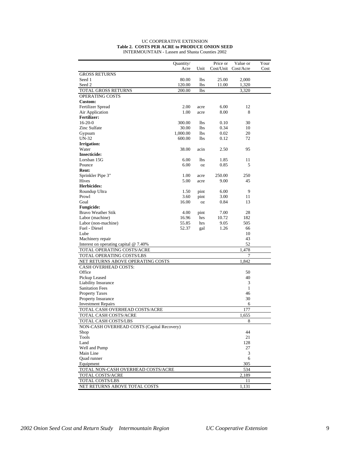#### UC COOPERATIVE EXTENSION **Table 2. COSTS PER ACRE to PRODUCE ONION SEED** INTERMOUNTAIN - Lassen and Shasta Counties 2002

|                                            | Quantity/ |            | Price or  | Value or     | Your |
|--------------------------------------------|-----------|------------|-----------|--------------|------|
|                                            | Acre      | Unit       | Cost/Unit | Cost/Acre    | Cost |
| <b>GROSS RETURNS</b>                       |           |            |           |              |      |
| Seed 1                                     | 80.00     | lbs        | 25.00     | 2,000        |      |
| Seed 2                                     | 120.00    | <b>lbs</b> | 11.00     | 1,320        |      |
| TOTAL GROSS RETURNS                        | 200.00    | <b>lbs</b> |           | 3,320        |      |
| <b>OPERATING COSTS</b>                     |           |            |           |              |      |
| Custom:                                    |           |            |           |              |      |
| Fertilizer Spread                          | 2.00      | acre       | 6.00      | 12           |      |
| Air Application                            | 1.00      | acre       | 8.00      | 8            |      |
| <b>Fertilizer:</b>                         |           |            |           |              |      |
| $16-20-0$                                  | 300.00    | <b>lbs</b> | 0.10      | 30           |      |
| Zinc Sulfate                               | 30.00     | lbs        | 0.34      | 10           |      |
| Gypsum                                     | 1,000.00  | <b>lbs</b> | 0.02      | 20           |      |
| <b>UN-32</b>                               | 600.00    | <b>lbs</b> | 0.12      | 72           |      |
| Irrigation:                                |           |            |           |              |      |
| Water                                      | 38.00     | acin       | 2.50      | 95           |      |
| <b>Insecticide:</b>                        |           |            |           |              |      |
| Lorsban 15G                                | 6.00      | <b>lbs</b> | 1.85      | 11           |      |
| Pounce                                     | 6.00      | <b>OZ</b>  | 0.85      | 5            |      |
| Rent:                                      |           |            |           |              |      |
| Sprinkler Pipe 3"                          | 1.00      | acre       | 250.00    | 250          |      |
| Hives                                      | 5.00      | acre       | 9.00      | 45           |      |
| <b>Herbicides:</b>                         |           |            |           |              |      |
| Roundup Ultra                              | 1.50      | pint       | 6.00      | 9            |      |
| Prowl                                      | 3.60      | pint       | 3.00      | 11           |      |
| Goal                                       | 16.00     | <b>OZ</b>  | 0.84      | 13           |      |
| <b>Fungicide:</b>                          |           |            |           |              |      |
| Bravo Weather Stik                         | 4.00      | pint       | 7.00      | 28           |      |
| Labor (machine)                            | 16.96     | hrs        | 10.72     | 182          |      |
| Labor (non-machine)                        | 55.85     | hrs        | 9.05      | 505          |      |
| Fuel - Diesel                              | 52.37     | gal        | 1.26      | 66           |      |
| Lube                                       |           |            |           | 10           |      |
| Machinery repair                           |           |            |           | 43           |      |
| Interest on operating capital @ 7.40%      |           |            |           | 52           |      |
| TOTAL OPERATING COSTS/ACRE                 |           |            |           | 1,478        |      |
| TOTAL OPERATING COSTS/LBS                  |           |            |           | 7            |      |
| NET RETURNS ABOVE OPERATING COSTS          |           |            |           | 1,842        |      |
| <b>CASH OVERHEAD COSTS:</b>                |           |            |           |              |      |
| Office                                     |           |            |           | 50           |      |
| Pickup Leased                              |           |            |           | 40           |      |
| <b>Liability Insurance</b>                 |           |            |           | 3            |      |
| <b>Sanitation Fees</b>                     |           |            |           | $\mathbf{1}$ |      |
| <b>Property Taxes</b>                      |           |            |           | 46           |      |
| Property Insurance                         |           |            |           | 30           |      |
| <b>Investment Repairs</b>                  |           |            |           | 6            |      |
| TOTAL CASH OVERHEAD COSTS/ACRE             |           |            |           | 177          |      |
| TOTAL CASH COSTS/ACRE                      |           |            |           | 1,655        |      |
| TOTAL CASH COSTS/LBS                       |           |            |           | 8            |      |
| NON-CASH OVERHEAD COSTS (Capital Recovery) |           |            |           |              |      |
| Shop                                       |           |            |           | 44           |      |
| Tools                                      |           |            |           | 21           |      |
| Land                                       |           |            |           | 128          |      |
| Well and Pump                              |           |            |           | 27           |      |
| Main Line                                  |           |            |           | 3            |      |
| <b>Ouad</b> runner                         |           |            |           | 6            |      |
| Equipment                                  |           |            |           | 305          |      |
| TOTAL NON-CASH OVERHEAD COSTS/ACRE         |           |            |           | 534          |      |
| TOTAL COSTS/ACRE                           |           |            |           | 2,189        |      |
| TOTAL COSTS/LBS                            |           |            |           | 11           |      |
| NET RETURNS ABOVE TOTAL COSTS              |           |            |           | 1,131        |      |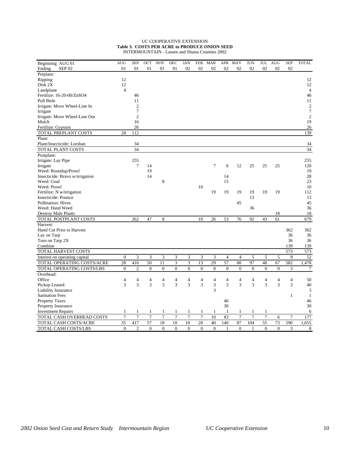#### UC COOPERATIVE EXTENSION **Table 3. COSTS PER ACRE to PRODUCE ONION SEED** INTERMOUNTAIN - Lassen and Shasta Counties 2002

| Beginning AUG 01                | <b>AUG</b>     | <b>SEP</b>      | OCT             | <b>NOV</b>     | <b>DEC</b>     | <b>JAN</b>     | <b>FEB</b>     | <b>MAR</b>       | APR            | <b>MAY</b>       | <b>JUN</b>     | JUL              | <b>AUG</b> | <b>SEP</b>     | <b>TOTAL</b>   |
|---------------------------------|----------------|-----------------|-----------------|----------------|----------------|----------------|----------------|------------------|----------------|------------------|----------------|------------------|------------|----------------|----------------|
| Ending<br>SEP <sub>02</sub>     | 01             | 01              | 01              | 01             | 01             | 02             | 02             | 02               | 02             | 02               | 02             | 02               | 02         | 02             |                |
| Preplant:                       |                |                 |                 |                |                |                |                |                  |                |                  |                |                  |            |                |                |
| Ripping                         | 12             |                 |                 |                |                |                |                |                  |                |                  |                |                  |            |                | 12             |
| Disk 2X                         | 12             |                 |                 |                |                |                |                |                  |                |                  |                |                  |            |                | 12             |
| Landplane                       | $\overline{4}$ |                 |                 |                |                |                |                |                  |                |                  |                |                  |            |                | $\overline{4}$ |
| Fertilize: 16-20-00/ZnSO4       |                | 46              |                 |                |                |                |                |                  |                |                  |                |                  |            |                | 46             |
| Pull Beds                       |                | 11              |                 |                |                |                |                |                  |                |                  |                |                  |            |                | 11             |
| Irrigate: Move Wheel-Line In    |                | $\overline{c}$  |                 |                |                |                |                |                  |                |                  |                |                  |            |                | $\overline{c}$ |
| Irrigate                        |                | 7               |                 |                |                |                |                |                  |                |                  |                |                  |            |                | $\overline{7}$ |
| Irrigate: Move Wheel-Line Out   |                | $\overline{c}$  |                 |                |                |                |                |                  |                |                  |                |                  |            |                | $\overline{c}$ |
| Mulch                           |                | 16              |                 |                |                |                |                |                  |                |                  |                |                  |            |                | 19             |
| Fertilize: Gypsum               |                | 26              |                 |                |                |                |                |                  |                |                  |                |                  |            |                | 26             |
| TOTAL PREPLANT COSTS            | 28             | 112             |                 |                |                |                |                |                  |                |                  |                |                  |            |                | 139            |
|                                 |                |                 |                 |                |                |                |                |                  |                |                  |                |                  |            |                |                |
| Plant:                          |                |                 |                 |                |                |                |                |                  |                |                  |                |                  |            |                |                |
| Plant/Insecticide: Lorsban      |                | 34              |                 |                |                |                |                |                  |                |                  |                |                  |            |                | 34             |
| <b>TOTAL PLANT COSTS</b>        |                | $\overline{34}$ |                 |                |                |                |                |                  |                |                  |                |                  |            |                | 34             |
| Postplant:                      |                |                 |                 |                |                |                |                |                  |                |                  |                |                  |            |                |                |
| Irrigate: Lay Pipe              |                | 255             |                 |                |                |                |                |                  |                |                  |                |                  |            |                | 255            |
| Irrigate                        |                | 7               | 14              |                |                |                |                | 7                | 6              | 12               | 25             | 25               | 25         |                | 120            |
| Weed: Roundup/Prowl             |                |                 | 19              |                |                |                |                |                  |                |                  |                |                  |            |                | 19             |
| Insecticide: Bravo w/irrigation |                |                 | 14              |                |                |                |                |                  | 14             |                  |                |                  |            |                | 28             |
| Weed: Goal                      |                |                 |                 | 8              |                |                |                |                  | 15             |                  |                |                  |            |                | 23             |
| Weed: Prowl                     |                |                 |                 |                |                |                | 10             |                  |                |                  |                |                  |            |                | 10             |
| Fertilize: N w/irrigation       |                |                 |                 |                |                |                |                | 19               | 19             | 19               | 19             | 19               | 19         |                | 112            |
| Insecticide: Pounce             |                |                 |                 |                |                |                |                |                  |                |                  | 13             |                  |            |                | 13             |
| <b>Pollination: Hives</b>       |                |                 |                 |                |                |                |                |                  |                | 45               |                |                  |            |                | 45             |
| Weed: Hand Weed                 |                |                 |                 |                |                |                |                |                  |                |                  | 36             |                  |            |                | 36             |
| Destroy Male Plants             |                |                 |                 |                |                |                |                |                  |                |                  |                |                  | 18         |                | 18             |
| TOTAL POSTPLANT COSTS           |                | 262             | 47              | 8              |                |                | 10             | 26               | 53             | 76               | 92             | 43               | 61         |                | 679            |
| Harvest:                        |                |                 |                 |                |                |                |                |                  |                |                  |                |                  |            |                |                |
| Hand Cut Prior to Harvest       |                |                 |                 |                |                |                |                |                  |                |                  |                |                  |            | 362            | 362            |
| Lay on Tarp                     |                |                 |                 |                |                |                |                |                  |                |                  |                |                  |            | 36             | 36             |
| Turn on Tarp 2X                 |                |                 |                 |                |                |                |                |                  |                |                  |                |                  |            | 36             | 36             |
| Combine                         |                |                 |                 |                |                |                |                |                  |                |                  |                |                  |            | 139            | 139            |
| TOTAL HARVEST COSTS             |                |                 |                 |                |                |                |                |                  |                |                  |                |                  |            | 573            | 573            |
| Interest on operating capital   | $\overline{0}$ | 3               | 3               | 3              | 3              | 3              | 3              | 3                | $\overline{4}$ | $\overline{4}$   | 5              | 5                | 5          | 9              | 52             |
| TOTAL OPERATING COSTS/ACRE      | 28             | 410             | 50              | 11             | $\mathfrak{Z}$ | 3              | 13             | 29               | 57             | 80               | 97             | 48               | 67         | 582            | 1,478          |
| TOTAL OPERATING COSTS/LBS       | $\overline{0}$ | $\overline{2}$  | $\mathbf{0}$    | $\overline{0}$ | $\overline{0}$ | $\overline{0}$ | $\overline{0}$ | $\boldsymbol{0}$ | $\mathbf{0}$   | $\boldsymbol{0}$ | $\mathbf{0}$   | $\boldsymbol{0}$ | $\theta$   | 3              | $\tau$         |
| Overhead:                       |                |                 |                 |                |                |                |                |                  |                |                  |                |                  |            |                |                |
| Office                          | 4              | 4               | 4               | $\overline{4}$ | 4              | 4              | 4              | 4                | 4              | 4                | 4              | 4                | 4          | $\overline{4}$ | 50             |
| Pickup Leased                   | 3              | 3               | 3               | 3              | 3              | 3              | 3              | 3                | 3              | 3                | 3              | 3                | 3          | 3              | 40             |
| Liability Insurance             |                |                 |                 |                |                |                |                | 3                |                |                  |                |                  |            |                | 3              |
| <b>Sanitation Fees</b>          |                |                 |                 |                |                |                |                |                  |                |                  |                |                  |            | 1              | -1             |
| <b>Property Taxes</b>           |                |                 |                 |                |                |                |                |                  | 46             |                  |                |                  |            |                | 46             |
| <b>Property Insurance</b>       |                |                 |                 |                |                |                |                |                  | 30             |                  |                |                  |            |                | 30             |
|                                 | 1              | 1               | 1               | 1              | 1              | 1              | 1              | 1                | 1              | 1                | 1              | 1                |            |                | 6              |
| <b>Investment Repairs</b>       | $\overline{7}$ | $\overline{7}$  | $\overline{7}$  | $\overline{7}$ | $\overline{7}$ | $\overline{7}$ | $\overline{7}$ | 10               | 83             | $\overline{7}$   | $\overline{7}$ | $\overline{7}$   |            | $\overline{7}$ | 177            |
| TOTAL CASH OVERHEAD COSTS       |                |                 |                 |                |                |                |                |                  |                |                  |                |                  | 6          |                |                |
| TOTAL CASH COSTS/ACRE           | 35             | 417             | $\overline{57}$ | 18             | 10             | 10             | 20             | 40               | 140            | 87               | 104            | $\overline{55}$  | 73         | 590            | 1,655          |
| TOTAL CASH COSTS/LBS            | $\theta$       | $\overline{c}$  | $\Omega$        | $\Omega$       | $\Omega$       | $\theta$       | $\Omega$       | $\theta$         | $\mathbf{1}$   | $\Omega$         | $\mathbf{1}$   | $\theta$         | $\Omega$   | 3              | 8              |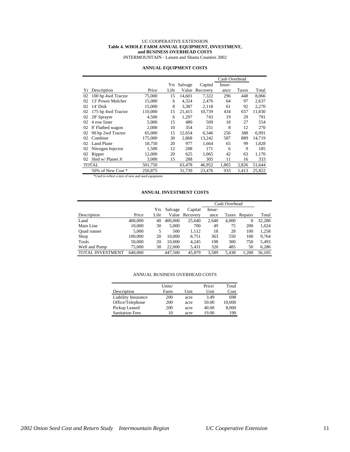# UC COOPERATIVE EXTENSION **Table 4. WHOLE FARM ANNUAL EQUIPMENT, INVESTMENT, and BUSINESS OVERHEAD COSTS**

INTERMOUNTAIN - Lassen and Shasta Counties 2002

# **ANNUAL EQUIPMENT COSTS**

|    |                     |         |      |         |          | Cash Overhead |       |        |
|----|---------------------|---------|------|---------|----------|---------------|-------|--------|
|    |                     |         | Yrs  | Salvage | Capital  | Insur-        |       |        |
| Yr | Description         | Price   | Life | Value   | Recovery | ance          | Taxes | Total  |
| 02 | 100 hp 4wd Tractor  | 75,000  | 15   | 14.601  | 7,322    | 296           | 448   | 8,066  |
| 02 | 13' Power Mulcher   | 15,000  | 6    | 4.324   | 2,476    | 64            | 97    | 2.637  |
| 02 | 14' Disk            | 15,000  | 8    | 3.387   | 2.118    | 61            | 92    | 2.270  |
| 02 | 175 hp 4wd Tractor  | 110,000 | 15   | 21,415  | 10,739   | 434           | 657   | 11,830 |
| 02 | 28' Sprayer         | 4,500   | 6    | 1,297   | 743      | 19            | 29    | 791    |
| 02 | 4 row lister        | 5.000   | 15   | 480     | 509      | 18            | 27    | 554    |
| 02 | 8' Flatbed wagon    | 2,000   | 10   | 354     | 251      | 8             | 12    | 270    |
| 02 | 90 hp 2wd Tractor   | 65,000  | 15   | 12.654  | 6.346    | 256           | 388   | 6.991  |
| 02 | Combine             | 175,000 | 30   | 2.868   | 13,242   | 587           | 889   | 14.719 |
| 02 | Land Plane          | 18,750  | 20   | 977     | 1,664    | 65            | 99    | 1,828  |
| 02 | Nitrogen Injector   | 1,500   | 12   | 208     | 171      | 6             | 9     | 185    |
| 02 | Ripper              | 12,000  | 20   | 625     | 1.065    | 42            | 63    | 1,170  |
| 02 | Sled $w/$ Planet Jr | 3,000   | 15   | 288     | 305      | 11            | 16    | 333    |
|    | <b>TOTAL</b>        | 501,750 |      | 63,478  | 46,952   | 1,865         | 2,826 | 51,644 |
|    | 50% of New Cost *   | 250,875 |      | 31.739  | 23.476   | 933           | 1.413 | 25.822 |

\*Used to reflect a mix of new and used equipment

# **ANNUAL INVESTMENT COSTS**

|                         |         |      |         |                |        | Cash Overhead |               |        |
|-------------------------|---------|------|---------|----------------|--------|---------------|---------------|--------|
|                         |         | Yrs  | Salvage | Capital        | Insur- |               |               |        |
| Description             | Price   | Life |         | Value Recovery | ance   |               | Taxes Repairs | Total  |
| Land                    | 400,000 | 40   | 400,000 | 25,640         | 2.640  | 4.000         | $\Omega$      | 32,280 |
| Main Line               | 10.000  | 30   | 5.000   | 700            | 49     | 75            | 200           | 1.024  |
| <b>Ouad</b> runner      | 5.000   | 5    | 500     | 1,112          | 18     | 28            | 100           | 1,258  |
| Shop                    | 100,000 | 20   | 10.000  | 8,751          | 363    | 550           | 100           | 9.764  |
| Tools                   | 50,000  | 20   | 10,000  | 4.245          | 198    | 300           | 750           | 5.493  |
| Well and Pump           | 75,000  | 30   | 22,000  | 5,431          | 320    | 485           | 50            | 6,286  |
| <b>TOTAL INVESTMENT</b> | 640,000 |      | 447.500 | 45,879         | 3.589  | 5.438         | 1.200         | 56.105 |

#### ANNUAL BUSINESS OVERHEAD COSTS

|                            | Units/ |      | Price/ | Total  |
|----------------------------|--------|------|--------|--------|
| Description                | Farm   | Unit | Unit   | Cost   |
| <b>Liability Insurance</b> | 200    | acre | 3.49   | 698    |
| Office/Telephone           | 200    | acre | 50.00  | 10,000 |
| Pickup Leased              | 200    | acre | 40.00  | 8,000  |
| <b>Sanitation Fees</b>     | 10     | acre | 19.00  | 190    |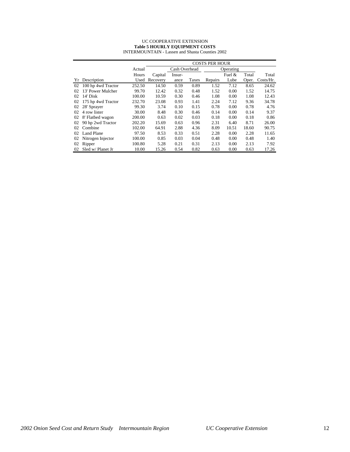#### UC COOPERATIVE EXTENSION **Table 5 HOURLY EQUIPMENT COSTS** INTERMOUNTAIN - Lassen and Shasta Counties 2002

|    |                    |        | <b>COSTS PER HOUR</b> |               |       |         |           |       |           |
|----|--------------------|--------|-----------------------|---------------|-------|---------|-----------|-------|-----------|
|    |                    | Actual |                       | Cash Overhead |       |         | Operating |       |           |
|    |                    | Hours  | Capital               | Insur-        |       |         | Fuel $&$  | Total | Total     |
|    | Yr Description     | Used   | Recovery              | ance          | Taxes | Repairs | Lube      | Oper. | Costs/Hr. |
| 02 | 100 hp 4wd Tractor | 252.50 | 14.50                 | 0.59          | 0.89  | 1.52    | 7.12      | 8.65  | 24.62     |
| 02 | 13' Power Mulcher  | 99.70  | 12.42                 | 0.32          | 0.48  | 1.52    | 0.00      | 1.52  | 14.75     |
| 02 | 14' Disk           | 100.00 | 10.59                 | 0.30          | 0.46  | 1.08    | 0.00      | 1.08  | 12.43     |
| 02 | 175 hp 4wd Tractor | 232.70 | 23.08                 | 0.93          | 1.41  | 2.24    | 7.12      | 9.36  | 34.78     |
| 02 | 28' Sprayer        | 99.30  | 3.74                  | 0.10          | 0.15  | 0.78    | 0.00      | 0.78  | 4.76      |
| 02 | 4 row lister       | 30.00  | 8.48                  | 0.30          | 0.46  | 0.14    | 0.00      | 0.14  | 9.37      |
| 02 | 8' Flatbed wagon   | 200.00 | 0.63                  | 0.02          | 0.03  | 0.18    | 0.00      | 0.18  | 0.86      |
| 02 | 90 hp 2wd Tractor  | 202.20 | 15.69                 | 0.63          | 0.96  | 2.31    | 6.40      | 8.71  | 26.00     |
| 02 | Combine            | 102.00 | 64.91                 | 2.88          | 4.36  | 8.09    | 10.51     | 18.60 | 90.75     |
| 02 | <b>Land Plane</b>  | 97.50  | 8.53                  | 0.33          | 0.51  | 2.28    | 0.00      | 2.28  | 11.65     |
| 02 | Nitrogen Injector  | 100.00 | 0.85                  | 0.03          | 0.04  | 0.48    | 0.00      | 0.48  | 1.40      |
| 02 | Ripper             | 100.80 | 5.28                  | 0.21          | 0.31  | 2.13    | 0.00      | 2.13  | 7.92      |
| 02 | Sled w/ Planet Jr  | 10.00  | 15.26                 | 0.54          | 0.82  | 0.63    | 0.00      | 0.63  | 17.26     |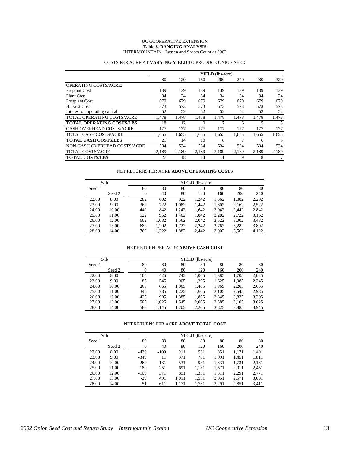#### UC COOPERATIVE EXTENSION **Table 6. RANGING ANALYSIS** INTERMOUNTAIN - Lassen and Shasta Counties 2002

|                                  | YIELD (lbs/acre) |       |       |       |       |       |       |  |
|----------------------------------|------------------|-------|-------|-------|-------|-------|-------|--|
|                                  | 80               | 120   | 160   | 200   | 240   | 280   | 320   |  |
| <b>OPERATING COSTS/ACRE:</b>     |                  |       |       |       |       |       |       |  |
| Preplant Cost                    | 139              | 139   | 139   | 139   | 139   | 139   | 139   |  |
| <b>Plant Cost</b>                | 34               | 34    | 34    | 34    | 34    | 34    | 34    |  |
| Postplant Cost                   | 679              | 679   | 679   | 679   | 679   | 679   | 679   |  |
| <b>Harvest Cost</b>              | 573              | 573   | 573   | 573   | 573   | 573   | 573   |  |
| Interest on operating capital    | 52               | 52    | 52    | 52    | 52    | 52    | 52    |  |
| TOTAL OPERATING COSTS/ACRE       | 1.478            | 1.478 | 1,478 | 1,478 | 1.478 | 1.478 | 1,478 |  |
| <b>TOTAL OPERATING COSTS/LBS</b> | 18               | 12    | 9     | 7     | 6     | 5     | 5     |  |
| CASH OVERHEAD COSTS/ACRE         | 177              | 177   | 177   | 177   | 177   | 177   | 177   |  |
| <b>TOTAL CASH COSTS/ACRE</b>     | 1,655            | 1.655 | 1,655 | 1,655 | 1,655 | 1.655 | 1,655 |  |
| <b>TOTAL CASH COSTS/LBS</b>      | 21               | 14    | 10    | 8     |       | 6     | 5     |  |
| NON-CASH OVERHEAD COSTS/ACRE     | 534              | 534   | 534   | 534   | 534   | 534   | 534   |  |
| <b>TOTAL COSTS/ACRE</b>          | 2.189            | 2.189 | 2.189 | 2.189 | 2.189 | 2.189 | 2,189 |  |
| <b>TOTAL COSTS/LBS</b>           | 27               | 18    | 14    | 11    | 9     | 8     |       |  |

# COSTS PER ACRE AT **VARYING YIELD** TO PRODUCE ONION SEED

# NET RETURNS PER ACRE **ABOVE OPERATING COSTS**

|        | $$$ /lb |     | YIELD (lbs/acre) |       |       |       |       |       |  |  |  |  |
|--------|---------|-----|------------------|-------|-------|-------|-------|-------|--|--|--|--|
| Seed 1 |         | 80  | 80               | 80    | 80    | 80    | 80    | 80    |  |  |  |  |
|        | Seed 2  | 0   | 40               | 80    | 120   | 160   | 200   | 240   |  |  |  |  |
| 22.00  | 8.00    | 282 | 602              | 922   | 1.242 | 1.562 | 1,882 | 2,202 |  |  |  |  |
| 23.00  | 9.00    | 362 | 722              | 1,082 | 1,442 | 1,802 | 2,162 | 2,522 |  |  |  |  |
| 24.00  | 10.00   | 442 | 842              | 1.242 | 1.642 | 2.042 | 2.442 | 2.842 |  |  |  |  |
| 25.00  | 11.00   | 522 | 962              | 1.402 | 1.842 | 2.282 | 2.722 | 3,162 |  |  |  |  |
| 26.00  | 12.00   | 602 | 1.082            | 1,562 | 2.042 | 2.522 | 3,002 | 3,482 |  |  |  |  |
| 27.00  | 13.00   | 682 | 1,202            | 1,722 | 2.242 | 2,762 | 3,282 | 3,802 |  |  |  |  |
| 28.00  | 14.00   | 762 | 1,322            | 1,882 | 2.442 | 3,002 | 3,562 | 4,122 |  |  |  |  |

#### NET RETURN PER ACRE **ABOVE CASH COST**

|        | \$/1 <sub>b</sub> | YIELD (lbs/acre) |       |       |       |       |       |       |  |  |
|--------|-------------------|------------------|-------|-------|-------|-------|-------|-------|--|--|
| Seed 1 |                   | 80               | 80    | 80    | 80    | 80    | 80    | 80    |  |  |
|        | Seed 2            | $\theta$         | 40    | 80    | 120   | 160   | 200   | 240   |  |  |
| 22.00  | 8.00              | 105              | 425   | 745   | 1.065 | 1,385 | 1.705 | 2.025 |  |  |
| 23.00  | 9.00              | 185              | 545   | 905   | 1,265 | 1,625 | 1,985 | 2,345 |  |  |
| 24.00  | 10.00             | 265              | 665   | 1,065 | 1,465 | 1,865 | 2,265 | 2,665 |  |  |
| 25.00  | 11.00             | 345              | 785   | 1.225 | 1,665 | 2,105 | 2,545 | 2,985 |  |  |
| 26.00  | 12.00             | 425              | 905   | 1,385 | 1,865 | 2,345 | 2,825 | 3,305 |  |  |
| 27.00  | 13.00             | 505              | 1,025 | 1,545 | 2,065 | 2,585 | 3,105 | 3,625 |  |  |
| 28.00  | 14.00             | 585              | 1.145 | 1.705 | 2,265 | 2,825 | 3,385 | 3.945 |  |  |

# NET RETURNS PER ACRE **ABOVE TOTAL COST**

|        | $\frac{1}{2}$ |          | YIELD (lbs/acre) |       |       |       |       |       |  |  |  |  |
|--------|---------------|----------|------------------|-------|-------|-------|-------|-------|--|--|--|--|
| Seed 1 |               | 80       | 80               | 80    | 80    | 80    | 80    | 80    |  |  |  |  |
|        | Seed 2        | $\Omega$ | 40               | 80    | 120   | 160   | 200   | 240   |  |  |  |  |
| 22.00  | 8.00          | $-429$   | $-109$           | 211   | 531   | 851   | 1,171 | 1,491 |  |  |  |  |
| 23.00  | 9.00          | $-349$   | 11               | 371   | 731   | 1.091 | 1.451 | 1,811 |  |  |  |  |
| 24.00  | 10.00         | $-269$   | 131              | 531   | 931   | 1,331 | 1,731 | 2,131 |  |  |  |  |
| 25.00  | 11.00         | $-189$   | 251              | 691   | 1,131 | 1,571 | 2.011 | 2,451 |  |  |  |  |
| 26.00  | 12.00         | $-109$   | 371              | 851   | 1,331 | 1,811 | 2.291 | 2.771 |  |  |  |  |
| 27.00  | 13.00         | $-29$    | 491              | 1.011 | 1,531 | 2,051 | 2.571 | 3,091 |  |  |  |  |
| 28.00  | 14.00         | 51       | 611              | 1.171 | 1,731 | 2,291 | 2,851 | 3,411 |  |  |  |  |